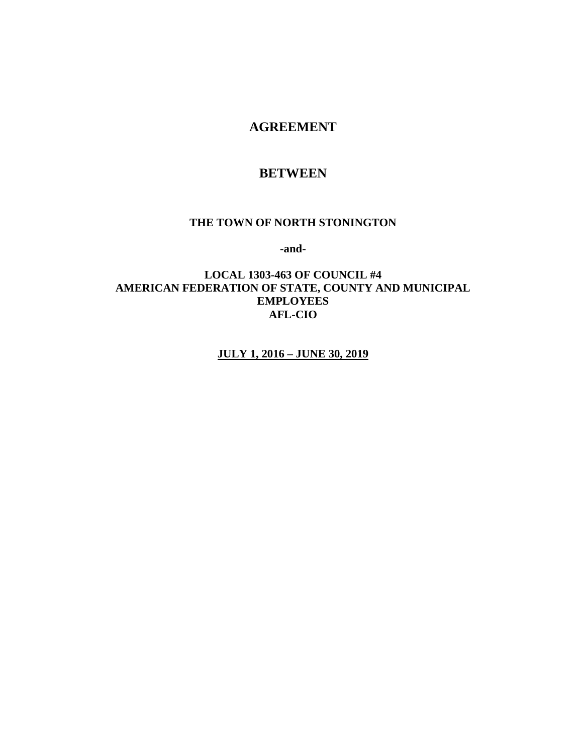### **AGREEMENT**

### **BETWEEN**

#### **THE TOWN OF NORTH STONINGTON**

**-and-**

### **LOCAL 1303-463 OF COUNCIL #4 AMERICAN FEDERATION OF STATE, COUNTY AND MUNICIPAL EMPLOYEES AFL-CIO**

**JULY 1, 2016 – JUNE 30, 2019**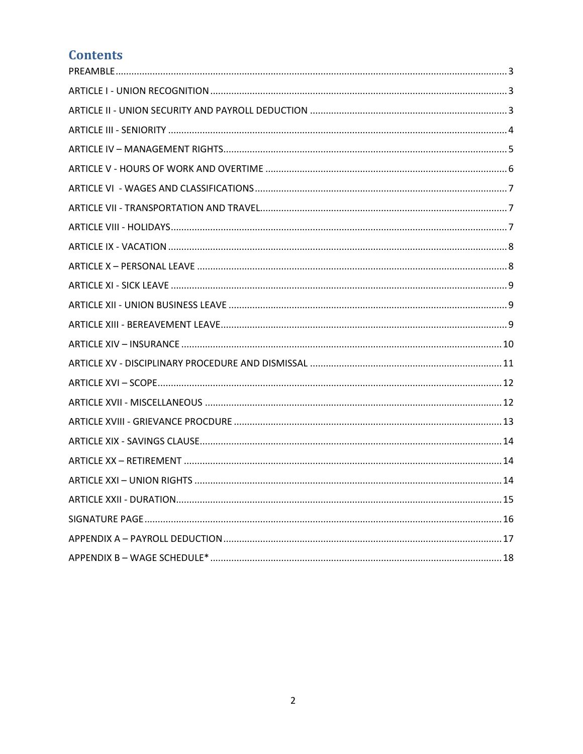# **Contents**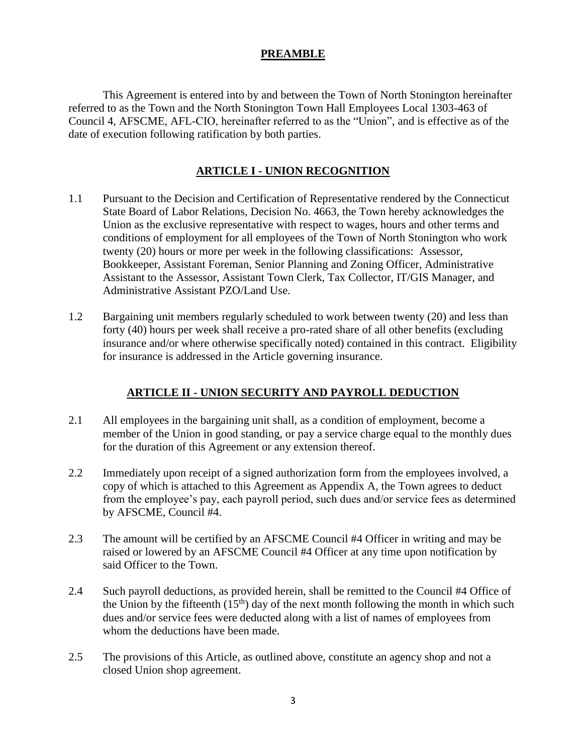### **PREAMBLE**

<span id="page-2-0"></span>This Agreement is entered into by and between the Town of North Stonington hereinafter referred to as the Town and the North Stonington Town Hall Employees Local 1303-463 of Council 4, AFSCME, AFL-CIO, hereinafter referred to as the "Union", and is effective as of the date of execution following ratification by both parties.

### **ARTICLE I - UNION RECOGNITION**

- <span id="page-2-1"></span>1.1 Pursuant to the Decision and Certification of Representative rendered by the Connecticut State Board of Labor Relations, Decision No. 4663, the Town hereby acknowledges the Union as the exclusive representative with respect to wages, hours and other terms and conditions of employment for all employees of the Town of North Stonington who work twenty (20) hours or more per week in the following classifications: Assessor, Bookkeeper, Assistant Foreman, Senior Planning and Zoning Officer, Administrative Assistant to the Assessor, Assistant Town Clerk, Tax Collector, IT/GIS Manager, and Administrative Assistant PZO/Land Use.
- 1.2 Bargaining unit members regularly scheduled to work between twenty (20) and less than forty (40) hours per week shall receive a pro-rated share of all other benefits (excluding insurance and/or where otherwise specifically noted) contained in this contract. Eligibility for insurance is addressed in the Article governing insurance.

### **ARTICLE II - UNION SECURITY AND PAYROLL DEDUCTION**

- <span id="page-2-2"></span>2.1 All employees in the bargaining unit shall, as a condition of employment, become a member of the Union in good standing, or pay a service charge equal to the monthly dues for the duration of this Agreement or any extension thereof.
- 2.2 Immediately upon receipt of a signed authorization form from the employees involved, a copy of which is attached to this Agreement as Appendix A, the Town agrees to deduct from the employee's pay, each payroll period, such dues and/or service fees as determined by AFSCME, Council #4.
- 2.3 The amount will be certified by an AFSCME Council #4 Officer in writing and may be raised or lowered by an AFSCME Council #4 Officer at any time upon notification by said Officer to the Town.
- 2.4 Such payroll deductions, as provided herein, shall be remitted to the Council #4 Office of the Union by the fifteenth  $(15<sup>th</sup>)$  day of the next month following the month in which such dues and/or service fees were deducted along with a list of names of employees from whom the deductions have been made.
- 2.5 The provisions of this Article, as outlined above, constitute an agency shop and not a closed Union shop agreement.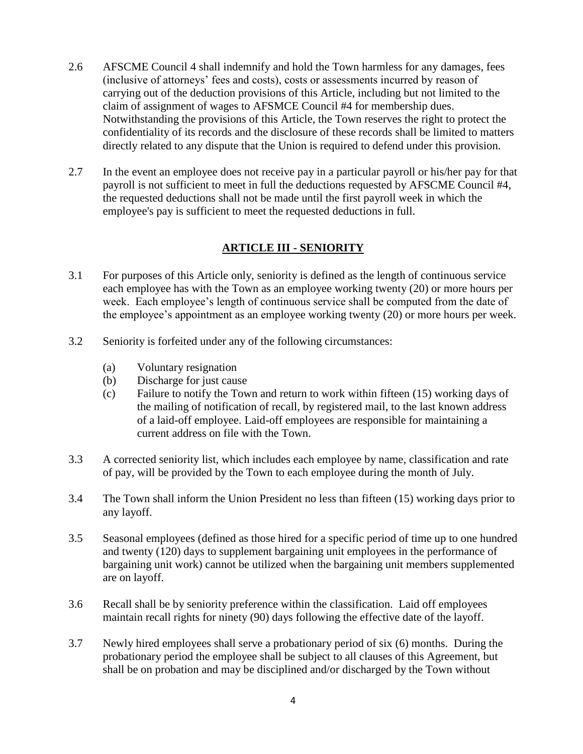- 2.6 AFSCME Council 4 shall indemnify and hold the Town harmless for any damages, fees (inclusive of attorneys' fees and costs), costs or assessments incurred by reason of carrying out of the deduction provisions of this Article, including but not limited to the claim of assignment of wages to AFSMCE Council #4 for membership dues. Notwithstanding the provisions of this Article, the Town reserves the right to protect the confidentiality of its records and the disclosure of these records shall be limited to matters directly related to any dispute that the Union is required to defend under this provision.
- <span id="page-3-0"></span>2.7 In the event an employee does not receive pay in a particular payroll or his/her pay for that payroll is not sufficient to meet in full the deductions requested by AFSCME Council #4, the requested deductions shall not be made until the first payroll week in which the employee's pay is sufficient to meet the requested deductions in full.

### **ARTICLE III - SENIORITY**

- 3.1 For purposes of this Article only, seniority is defined as the length of continuous service each employee has with the Town as an employee working twenty (20) or more hours per week. Each employee's length of continuous service shall be computed from the date of the employee's appointment as an employee working twenty (20) or more hours per week.
- 3.2 Seniority is forfeited under any of the following circumstances:
	- (a) Voluntary resignation
	- (b) Discharge for just cause
	- (c) Failure to notify the Town and return to work within fifteen (15) working days of the mailing of notification of recall, by registered mail, to the last known address of a laid-off employee. Laid-off employees are responsible for maintaining a current address on file with the Town.
- 3.3 A corrected seniority list, which includes each employee by name, classification and rate of pay, will be provided by the Town to each employee during the month of July.
- 3.4 The Town shall inform the Union President no less than fifteen (15) working days prior to any layoff.
- 3.5 Seasonal employees (defined as those hired for a specific period of time up to one hundred and twenty (120) days to supplement bargaining unit employees in the performance of bargaining unit work) cannot be utilized when the bargaining unit members supplemented are on layoff.
- 3.6 Recall shall be by seniority preference within the classification. Laid off employees maintain recall rights for ninety (90) days following the effective date of the layoff.
- 3.7 Newly hired employees shall serve a probationary period of six (6) months. During the probationary period the employee shall be subject to all clauses of this Agreement, but shall be on probation and may be disciplined and/or discharged by the Town without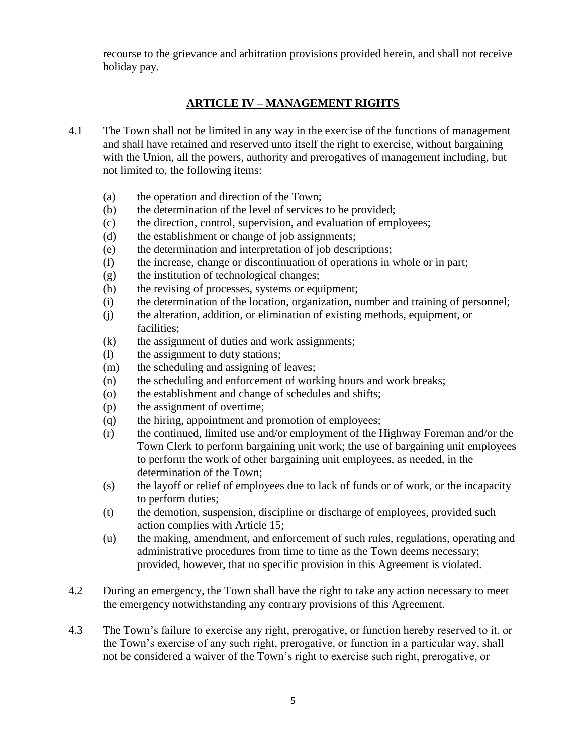<span id="page-4-0"></span>recourse to the grievance and arbitration provisions provided herein, and shall not receive holiday pay.

### **ARTICLE IV – MANAGEMENT RIGHTS**

- 4.1 The Town shall not be limited in any way in the exercise of the functions of management and shall have retained and reserved unto itself the right to exercise, without bargaining with the Union, all the powers, authority and prerogatives of management including, but not limited to, the following items:
	- (a) the operation and direction of the Town;
	- (b) the determination of the level of services to be provided;
	- (c) the direction, control, supervision, and evaluation of employees;
	- (d) the establishment or change of job assignments;
	- (e) the determination and interpretation of job descriptions;
	- (f) the increase, change or discontinuation of operations in whole or in part;
	- (g) the institution of technological changes;
	- (h) the revising of processes, systems or equipment;
	- (i) the determination of the location, organization, number and training of personnel;
	- (j) the alteration, addition, or elimination of existing methods, equipment, or facilities;
	- (k) the assignment of duties and work assignments;
	- (l) the assignment to duty stations;
	- (m) the scheduling and assigning of leaves;
	- (n) the scheduling and enforcement of working hours and work breaks;
	- (o) the establishment and change of schedules and shifts;
	- (p) the assignment of overtime;
	- (q) the hiring, appointment and promotion of employees;
	- (r) the continued, limited use and/or employment of the Highway Foreman and/or the Town Clerk to perform bargaining unit work; the use of bargaining unit employees to perform the work of other bargaining unit employees, as needed, in the determination of the Town;
	- (s) the layoff or relief of employees due to lack of funds or of work, or the incapacity to perform duties;
	- (t) the demotion, suspension, discipline or discharge of employees, provided such action complies with Article 15;
	- (u) the making, amendment, and enforcement of such rules, regulations, operating and administrative procedures from time to time as the Town deems necessary; provided, however, that no specific provision in this Agreement is violated.
- 4.2 During an emergency, the Town shall have the right to take any action necessary to meet the emergency notwithstanding any contrary provisions of this Agreement.
- 4.3 The Town's failure to exercise any right, prerogative, or function hereby reserved to it, or the Town's exercise of any such right, prerogative, or function in a particular way, shall not be considered a waiver of the Town's right to exercise such right, prerogative, or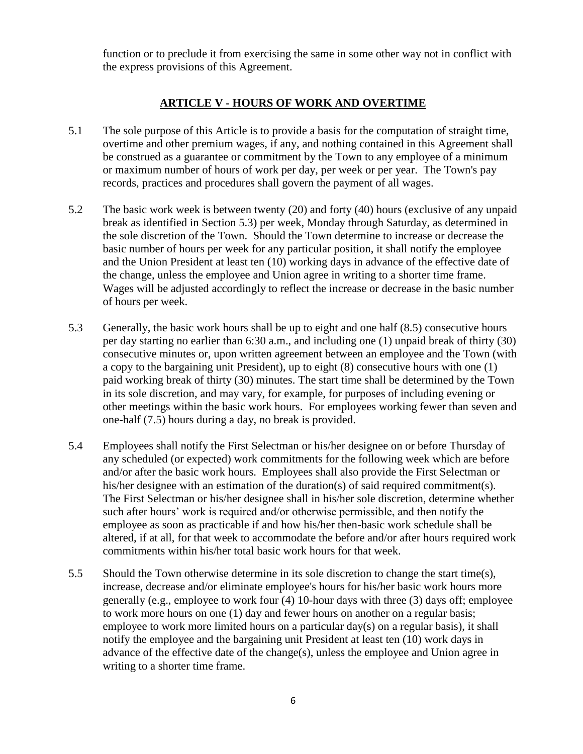<span id="page-5-0"></span>function or to preclude it from exercising the same in some other way not in conflict with the express provisions of this Agreement.

#### **ARTICLE V - HOURS OF WORK AND OVERTIME**

- 5.1 The sole purpose of this Article is to provide a basis for the computation of straight time, overtime and other premium wages, if any, and nothing contained in this Agreement shall be construed as a guarantee or commitment by the Town to any employee of a minimum or maximum number of hours of work per day, per week or per year. The Town's pay records, practices and procedures shall govern the payment of all wages.
- 5.2 The basic work week is between twenty (20) and forty (40) hours (exclusive of any unpaid break as identified in Section 5.3) per week, Monday through Saturday, as determined in the sole discretion of the Town. Should the Town determine to increase or decrease the basic number of hours per week for any particular position, it shall notify the employee and the Union President at least ten (10) working days in advance of the effective date of the change, unless the employee and Union agree in writing to a shorter time frame. Wages will be adjusted accordingly to reflect the increase or decrease in the basic number of hours per week.
- 5.3 Generally, the basic work hours shall be up to eight and one half (8.5) consecutive hours per day starting no earlier than 6:30 a.m., and including one (1) unpaid break of thirty (30) consecutive minutes or, upon written agreement between an employee and the Town (with a copy to the bargaining unit President), up to eight (8) consecutive hours with one (1) paid working break of thirty (30) minutes. The start time shall be determined by the Town in its sole discretion, and may vary, for example, for purposes of including evening or other meetings within the basic work hours. For employees working fewer than seven and one-half (7.5) hours during a day, no break is provided.
- 5.4 Employees shall notify the First Selectman or his/her designee on or before Thursday of any scheduled (or expected) work commitments for the following week which are before and/or after the basic work hours. Employees shall also provide the First Selectman or his/her designee with an estimation of the duration(s) of said required commitment(s). The First Selectman or his/her designee shall in his/her sole discretion, determine whether such after hours' work is required and/or otherwise permissible, and then notify the employee as soon as practicable if and how his/her then-basic work schedule shall be altered, if at all, for that week to accommodate the before and/or after hours required work commitments within his/her total basic work hours for that week.
- 5.5 Should the Town otherwise determine in its sole discretion to change the start time(s), increase, decrease and/or eliminate employee's hours for his/her basic work hours more generally (e.g., employee to work four (4) 10-hour days with three (3) days off; employee to work more hours on one (1) day and fewer hours on another on a regular basis; employee to work more limited hours on a particular day(s) on a regular basis), it shall notify the employee and the bargaining unit President at least ten (10) work days in advance of the effective date of the change(s), unless the employee and Union agree in writing to a shorter time frame.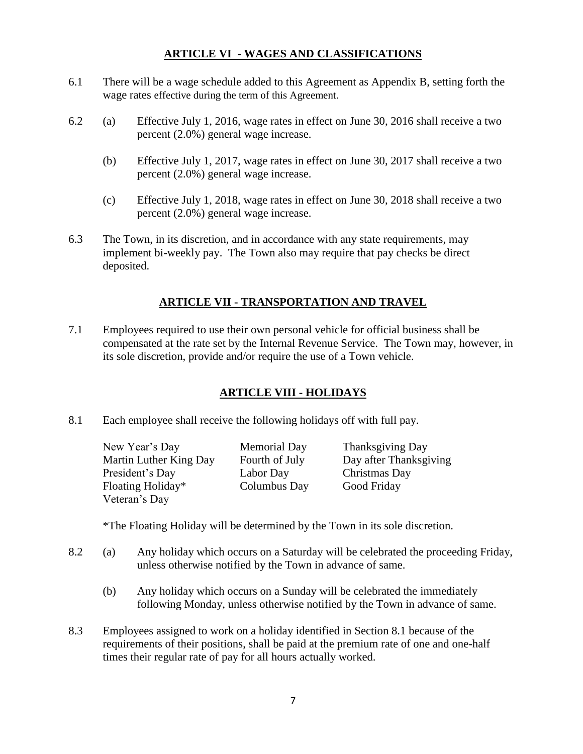### **ARTICLE VI - WAGES AND CLASSIFICATIONS**

- <span id="page-6-0"></span>6.1 There will be a wage schedule added to this Agreement as Appendix B, setting forth the wage rates effective during the term of this Agreement.
- 6.2 (a) Effective July 1, 2016, wage rates in effect on June 30, 2016 shall receive a two percent (2.0%) general wage increase.
	- (b) Effective July 1, 2017, wage rates in effect on June 30, 2017 shall receive a two percent (2.0%) general wage increase.
	- (c) Effective July 1, 2018, wage rates in effect on June 30, 2018 shall receive a two percent (2.0%) general wage increase.
- <span id="page-6-1"></span>6.3 The Town, in its discretion, and in accordance with any state requirements, may implement bi-weekly pay. The Town also may require that pay checks be direct deposited.

### **ARTICLE VII - TRANSPORTATION AND TRAVEL**

<span id="page-6-2"></span>7.1 Employees required to use their own personal vehicle for official business shall be compensated at the rate set by the Internal Revenue Service. The Town may, however, in its sole discretion, provide and/or require the use of a Town vehicle.

### **ARTICLE VIII - HOLIDAYS**

8.1 Each employee shall receive the following holidays off with full pay.

New Year's Day Memorial Day Thanksgiving Day Martin Luther King Day Fourth of July Day after Thanksgiving President's Day Labor Day Christmas Day Floating Holiday\* Columbus Day Good Friday Veteran's Day

\*The Floating Holiday will be determined by the Town in its sole discretion.

- 8.2 (a) Any holiday which occurs on a Saturday will be celebrated the proceeding Friday, unless otherwise notified by the Town in advance of same.
	- (b) Any holiday which occurs on a Sunday will be celebrated the immediately following Monday, unless otherwise notified by the Town in advance of same.
- 8.3 Employees assigned to work on a holiday identified in Section 8.1 because of the requirements of their positions, shall be paid at the premium rate of one and one-half times their regular rate of pay for all hours actually worked.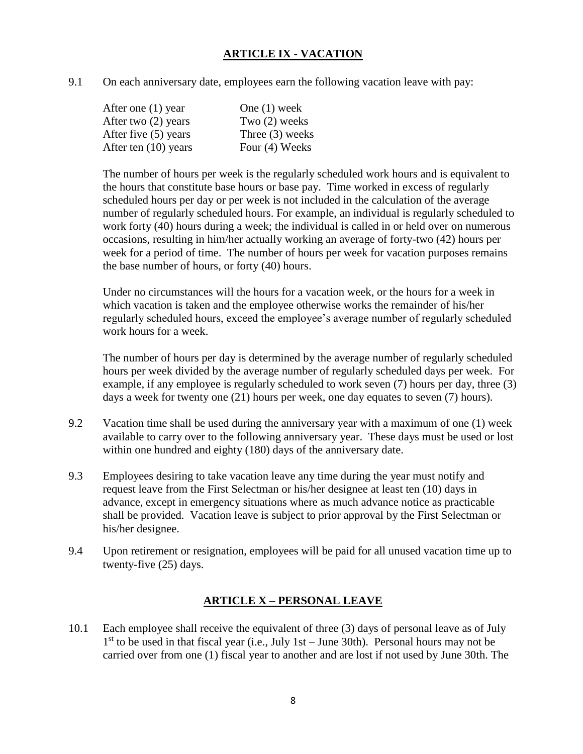### **ARTICLE IX - VACATION**

<span id="page-7-0"></span>9.1 On each anniversary date, employees earn the following vacation leave with pay:

| One $(1)$ week    |
|-------------------|
| Two $(2)$ weeks   |
| Three $(3)$ weeks |
| Four (4) Weeks    |
|                   |

The number of hours per week is the regularly scheduled work hours and is equivalent to the hours that constitute base hours or base pay. Time worked in excess of regularly scheduled hours per day or per week is not included in the calculation of the average number of regularly scheduled hours. For example, an individual is regularly scheduled to work forty (40) hours during a week; the individual is called in or held over on numerous occasions, resulting in him/her actually working an average of forty-two (42) hours per week for a period of time. The number of hours per week for vacation purposes remains the base number of hours, or forty (40) hours.

Under no circumstances will the hours for a vacation week, or the hours for a week in which vacation is taken and the employee otherwise works the remainder of his/her regularly scheduled hours, exceed the employee's average number of regularly scheduled work hours for a week.

The number of hours per day is determined by the average number of regularly scheduled hours per week divided by the average number of regularly scheduled days per week. For example, if any employee is regularly scheduled to work seven (7) hours per day, three (3) days a week for twenty one (21) hours per week, one day equates to seven (7) hours).

- 9.2 Vacation time shall be used during the anniversary year with a maximum of one (1) week available to carry over to the following anniversary year. These days must be used or lost within one hundred and eighty (180) days of the anniversary date.
- 9.3 Employees desiring to take vacation leave any time during the year must notify and request leave from the First Selectman or his/her designee at least ten (10) days in advance, except in emergency situations where as much advance notice as practicable shall be provided. Vacation leave is subject to prior approval by the First Selectman or his/her designee.
- <span id="page-7-1"></span>9.4 Upon retirement or resignation, employees will be paid for all unused vacation time up to twenty-five (25) days.

### **ARTICLE X – PERSONAL LEAVE**

10.1 Each employee shall receive the equivalent of three (3) days of personal leave as of July 1<sup>st</sup> to be used in that fiscal year (i.e., July 1st – June 30th). Personal hours may not be carried over from one (1) fiscal year to another and are lost if not used by June 30th. The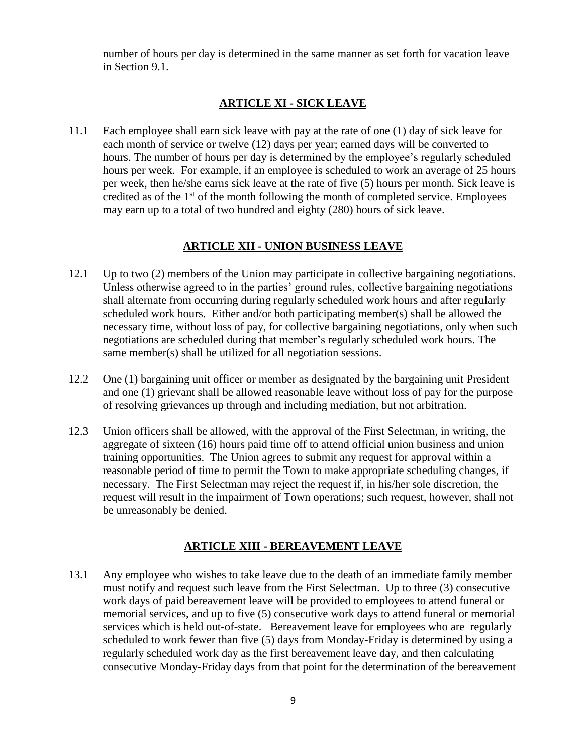<span id="page-8-0"></span>number of hours per day is determined in the same manner as set forth for vacation leave in Section 9.1.

### **ARTICLE XI - SICK LEAVE**

11.1 Each employee shall earn sick leave with pay at the rate of one (1) day of sick leave for each month of service or twelve (12) days per year; earned days will be converted to hours. The number of hours per day is determined by the employee's regularly scheduled hours per week. For example, if an employee is scheduled to work an average of 25 hours per week, then he/she earns sick leave at the rate of five (5) hours per month. Sick leave is credited as of the  $1<sup>st</sup>$  of the month following the month of completed service. Employees may earn up to a total of two hundred and eighty (280) hours of sick leave.

### **ARTICLE XII - UNION BUSINESS LEAVE**

- <span id="page-8-1"></span>12.1 Up to two (2) members of the Union may participate in collective bargaining negotiations. Unless otherwise agreed to in the parties' ground rules, collective bargaining negotiations shall alternate from occurring during regularly scheduled work hours and after regularly scheduled work hours. Either and/or both participating member(s) shall be allowed the necessary time, without loss of pay, for collective bargaining negotiations, only when such negotiations are scheduled during that member's regularly scheduled work hours. The same member(s) shall be utilized for all negotiation sessions.
- 12.2 One (1) bargaining unit officer or member as designated by the bargaining unit President and one (1) grievant shall be allowed reasonable leave without loss of pay for the purpose of resolving grievances up through and including mediation, but not arbitration.
- 12.3 Union officers shall be allowed, with the approval of the First Selectman, in writing, the aggregate of sixteen (16) hours paid time off to attend official union business and union training opportunities. The Union agrees to submit any request for approval within a reasonable period of time to permit the Town to make appropriate scheduling changes, if necessary. The First Selectman may reject the request if, in his/her sole discretion, the request will result in the impairment of Town operations; such request, however, shall not be unreasonably be denied.

### **ARTICLE XIII - BEREAVEMENT LEAVE**

<span id="page-8-2"></span>13.1 Any employee who wishes to take leave due to the death of an immediate family member must notify and request such leave from the First Selectman. Up to three (3) consecutive work days of paid bereavement leave will be provided to employees to attend funeral or memorial services, and up to five (5) consecutive work days to attend funeral or memorial services which is held out-of-state. Bereavement leave for employees who are regularly scheduled to work fewer than five (5) days from Monday-Friday is determined by using a regularly scheduled work day as the first bereavement leave day, and then calculating consecutive Monday-Friday days from that point for the determination of the bereavement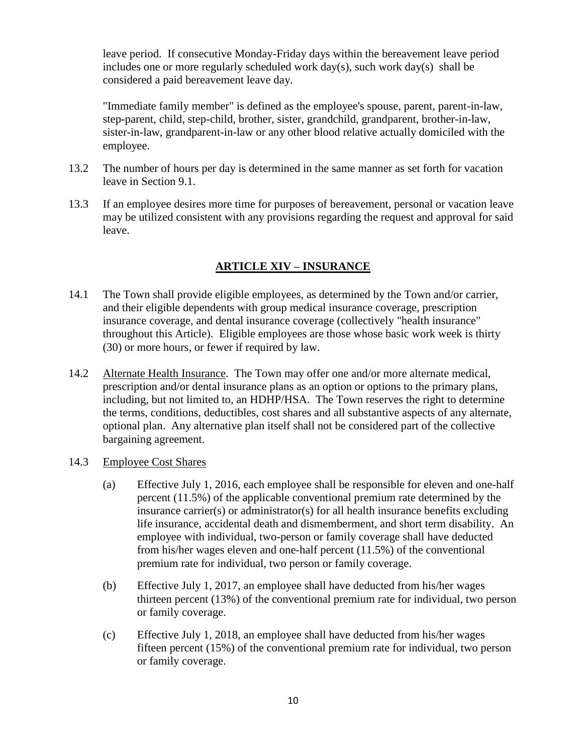leave period. If consecutive Monday-Friday days within the bereavement leave period includes one or more regularly scheduled work day(s), such work day(s) shall be considered a paid bereavement leave day.

"Immediate family member" is defined as the employee's spouse, parent, parent-in-law, step-parent, child, step-child, brother, sister, grandchild, grandparent, brother-in-law, sister-in-law, grandparent-in-law or any other blood relative actually domiciled with the employee.

- 13.2 The number of hours per day is determined in the same manner as set forth for vacation leave in Section 9.1.
- <span id="page-9-0"></span>13.3 If an employee desires more time for purposes of bereavement, personal or vacation leave may be utilized consistent with any provisions regarding the request and approval for said leave.

### **ARTICLE XIV – INSURANCE**

- 14.1 The Town shall provide eligible employees, as determined by the Town and/or carrier, and their eligible dependents with group medical insurance coverage, prescription insurance coverage, and dental insurance coverage (collectively "health insurance" throughout this Article). Eligible employees are those whose basic work week is thirty (30) or more hours, or fewer if required by law.
- 14.2 Alternate Health Insurance. The Town may offer one and/or more alternate medical, prescription and/or dental insurance plans as an option or options to the primary plans, including, but not limited to, an HDHP/HSA. The Town reserves the right to determine the terms, conditions, deductibles, cost shares and all substantive aspects of any alternate, optional plan. Any alternative plan itself shall not be considered part of the collective bargaining agreement.
- 14.3 Employee Cost Shares
	- (a) Effective July 1, 2016, each employee shall be responsible for eleven and one-half percent (11.5%) of the applicable conventional premium rate determined by the insurance carrier(s) or administrator(s) for all health insurance benefits excluding life insurance, accidental death and dismemberment, and short term disability. An employee with individual, two-person or family coverage shall have deducted from his/her wages eleven and one-half percent (11.5%) of the conventional premium rate for individual, two person or family coverage.
	- (b) Effective July 1, 2017, an employee shall have deducted from his/her wages thirteen percent (13%) of the conventional premium rate for individual, two person or family coverage.
	- (c) Effective July 1, 2018, an employee shall have deducted from his/her wages fifteen percent (15%) of the conventional premium rate for individual, two person or family coverage.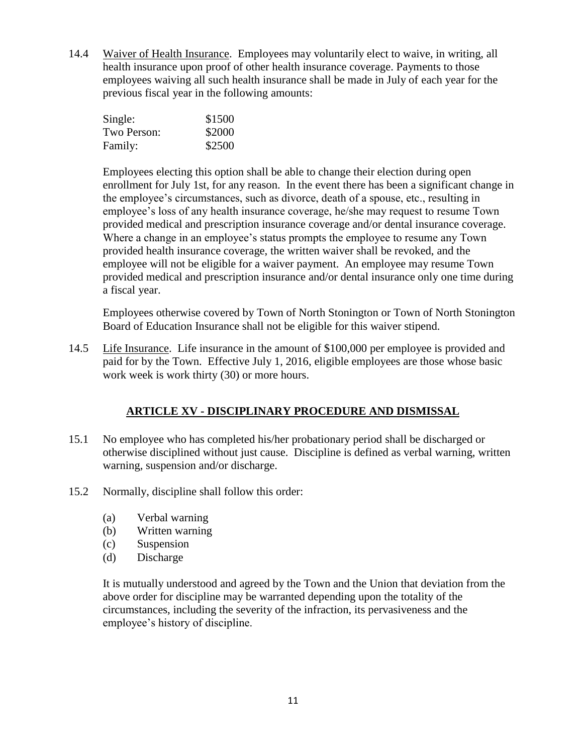14.4 Waiver of Health Insurance. Employees may voluntarily elect to waive, in writing, all health insurance upon proof of other health insurance coverage. Payments to those employees waiving all such health insurance shall be made in July of each year for the previous fiscal year in the following amounts:

| Single:     | \$1500 |
|-------------|--------|
| Two Person: | \$2000 |
| Family:     | \$2500 |

Employees electing this option shall be able to change their election during open enrollment for July 1st, for any reason. In the event there has been a significant change in the employee's circumstances, such as divorce, death of a spouse, etc., resulting in employee's loss of any health insurance coverage, he/she may request to resume Town provided medical and prescription insurance coverage and/or dental insurance coverage. Where a change in an employee's status prompts the employee to resume any Town provided health insurance coverage, the written waiver shall be revoked, and the employee will not be eligible for a waiver payment. An employee may resume Town provided medical and prescription insurance and/or dental insurance only one time during a fiscal year.

Employees otherwise covered by Town of North Stonington or Town of North Stonington Board of Education Insurance shall not be eligible for this waiver stipend.

<span id="page-10-0"></span>14.5 Life Insurance. Life insurance in the amount of \$100,000 per employee is provided and paid for by the Town. Effective July 1, 2016, eligible employees are those whose basic work week is work thirty (30) or more hours.

### **ARTICLE XV - DISCIPLINARY PROCEDURE AND DISMISSAL**

- 15.1 No employee who has completed his/her probationary period shall be discharged or otherwise disciplined without just cause. Discipline is defined as verbal warning, written warning, suspension and/or discharge.
- 15.2 Normally, discipline shall follow this order:
	- (a) Verbal warning
	- (b) Written warning
	- (c) Suspension
	- (d) Discharge

It is mutually understood and agreed by the Town and the Union that deviation from the above order for discipline may be warranted depending upon the totality of the circumstances, including the severity of the infraction, its pervasiveness and the employee's history of discipline.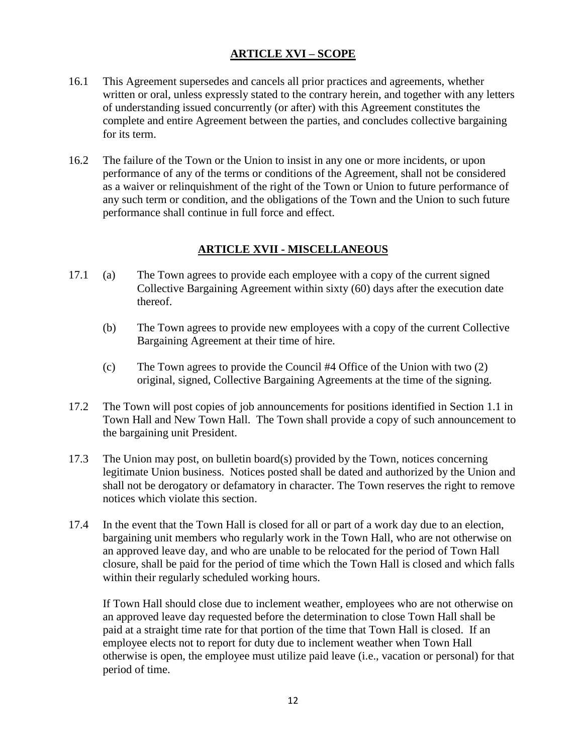### **ARTICLE XVI – SCOPE**

- <span id="page-11-0"></span>16.1 This Agreement supersedes and cancels all prior practices and agreements, whether written or oral, unless expressly stated to the contrary herein, and together with any letters of understanding issued concurrently (or after) with this Agreement constitutes the complete and entire Agreement between the parties, and concludes collective bargaining for its term.
- 16.2 The failure of the Town or the Union to insist in any one or more incidents, or upon performance of any of the terms or conditions of the Agreement, shall not be considered as a waiver or relinquishment of the right of the Town or Union to future performance of any such term or condition, and the obligations of the Town and the Union to such future performance shall continue in full force and effect.

### **ARTICLE XVII - MISCELLANEOUS**

- <span id="page-11-1"></span>17.1 (a) The Town agrees to provide each employee with a copy of the current signed Collective Bargaining Agreement within sixty (60) days after the execution date thereof.
	- (b) The Town agrees to provide new employees with a copy of the current Collective Bargaining Agreement at their time of hire.
	- (c) The Town agrees to provide the Council #4 Office of the Union with two (2) original, signed, Collective Bargaining Agreements at the time of the signing.
- 17.2 The Town will post copies of job announcements for positions identified in Section 1.1 in Town Hall and New Town Hall. The Town shall provide a copy of such announcement to the bargaining unit President.
- 17.3 The Union may post, on bulletin board(s) provided by the Town, notices concerning legitimate Union business. Notices posted shall be dated and authorized by the Union and shall not be derogatory or defamatory in character. The Town reserves the right to remove notices which violate this section.
- 17.4 In the event that the Town Hall is closed for all or part of a work day due to an election, bargaining unit members who regularly work in the Town Hall, who are not otherwise on an approved leave day, and who are unable to be relocated for the period of Town Hall closure, shall be paid for the period of time which the Town Hall is closed and which falls within their regularly scheduled working hours.

If Town Hall should close due to inclement weather, employees who are not otherwise on an approved leave day requested before the determination to close Town Hall shall be paid at a straight time rate for that portion of the time that Town Hall is closed. If an employee elects not to report for duty due to inclement weather when Town Hall otherwise is open, the employee must utilize paid leave (i.e., vacation or personal) for that period of time.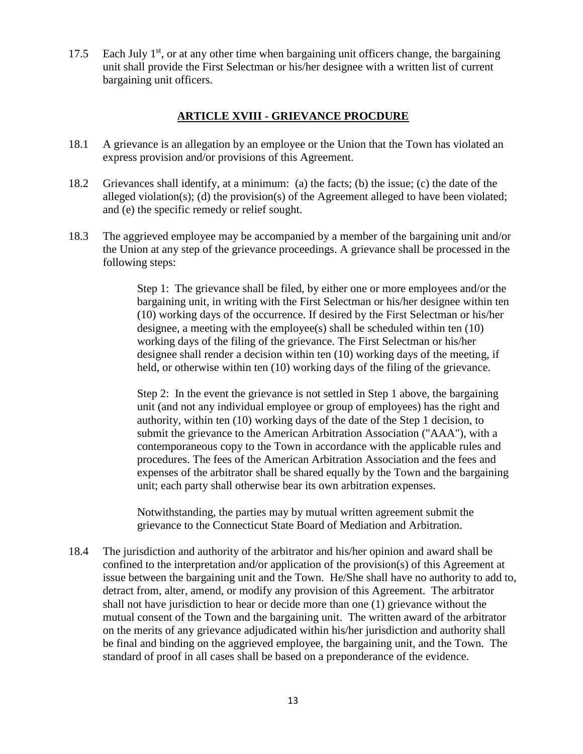<span id="page-12-0"></span>17.5 Each July  $1<sup>st</sup>$ , or at any other time when bargaining unit officers change, the bargaining unit shall provide the First Selectman or his/her designee with a written list of current bargaining unit officers.

#### **ARTICLE XVIII - GRIEVANCE PROCDURE**

- 18.1 A grievance is an allegation by an employee or the Union that the Town has violated an express provision and/or provisions of this Agreement.
- 18.2 Grievances shall identify, at a minimum: (a) the facts; (b) the issue; (c) the date of the alleged violation(s); (d) the provision(s) of the Agreement alleged to have been violated; and (e) the specific remedy or relief sought.
- 18.3 The aggrieved employee may be accompanied by a member of the bargaining unit and/or the Union at any step of the grievance proceedings. A grievance shall be processed in the following steps:

Step 1: The grievance shall be filed, by either one or more employees and/or the bargaining unit, in writing with the First Selectman or his/her designee within ten (10) working days of the occurrence. If desired by the First Selectman or his/her designee, a meeting with the employee(s) shall be scheduled within ten (10) working days of the filing of the grievance. The First Selectman or his/her designee shall render a decision within ten (10) working days of the meeting, if held, or otherwise within ten (10) working days of the filing of the grievance.

Step 2: In the event the grievance is not settled in Step 1 above, the bargaining unit (and not any individual employee or group of employees) has the right and authority, within ten (10) working days of the date of the Step 1 decision, to submit the grievance to the American Arbitration Association ("AAA"), with a contemporaneous copy to the Town in accordance with the applicable rules and procedures. The fees of the American Arbitration Association and the fees and expenses of the arbitrator shall be shared equally by the Town and the bargaining unit; each party shall otherwise bear its own arbitration expenses.

Notwithstanding, the parties may by mutual written agreement submit the grievance to the Connecticut State Board of Mediation and Arbitration.

18.4 The jurisdiction and authority of the arbitrator and his/her opinion and award shall be confined to the interpretation and/or application of the provision(s) of this Agreement at issue between the bargaining unit and the Town. He/She shall have no authority to add to, detract from, alter, amend, or modify any provision of this Agreement. The arbitrator shall not have jurisdiction to hear or decide more than one (1) grievance without the mutual consent of the Town and the bargaining unit. The written award of the arbitrator on the merits of any grievance adjudicated within his/her jurisdiction and authority shall be final and binding on the aggrieved employee, the bargaining unit, and the Town. The standard of proof in all cases shall be based on a preponderance of the evidence.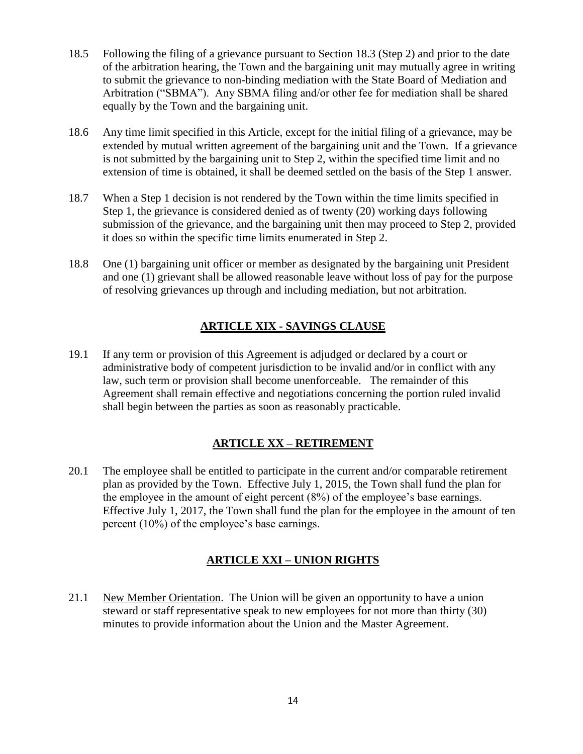- 18.5 Following the filing of a grievance pursuant to Section 18.3 (Step 2) and prior to the date of the arbitration hearing, the Town and the bargaining unit may mutually agree in writing to submit the grievance to non-binding mediation with the State Board of Mediation and Arbitration ("SBMA"). Any SBMA filing and/or other fee for mediation shall be shared equally by the Town and the bargaining unit.
- 18.6 Any time limit specified in this Article, except for the initial filing of a grievance, may be extended by mutual written agreement of the bargaining unit and the Town. If a grievance is not submitted by the bargaining unit to Step 2, within the specified time limit and no extension of time is obtained, it shall be deemed settled on the basis of the Step 1 answer.
- 18.7 When a Step 1 decision is not rendered by the Town within the time limits specified in Step 1, the grievance is considered denied as of twenty (20) working days following submission of the grievance, and the bargaining unit then may proceed to Step 2, provided it does so within the specific time limits enumerated in Step 2.
- <span id="page-13-0"></span>18.8 One (1) bargaining unit officer or member as designated by the bargaining unit President and one (1) grievant shall be allowed reasonable leave without loss of pay for the purpose of resolving grievances up through and including mediation, but not arbitration.

### **ARTICLE XIX - SAVINGS CLAUSE**

19.1 If any term or provision of this Agreement is adjudged or declared by a court or administrative body of competent jurisdiction to be invalid and/or in conflict with any law, such term or provision shall become unenforceable. The remainder of this Agreement shall remain effective and negotiations concerning the portion ruled invalid shall begin between the parties as soon as reasonably practicable.

### **ARTICLE XX – RETIREMENT**

<span id="page-13-1"></span>20.1 The employee shall be entitled to participate in the current and/or comparable retirement plan as provided by the Town. Effective July 1, 2015, the Town shall fund the plan for the employee in the amount of eight percent (8%) of the employee's base earnings. Effective July 1, 2017, the Town shall fund the plan for the employee in the amount of ten percent (10%) of the employee's base earnings.

### **ARTICLE XXI – UNION RIGHTS**

<span id="page-13-2"></span>21.1 New Member Orientation. The Union will be given an opportunity to have a union steward or staff representative speak to new employees for not more than thirty (30) minutes to provide information about the Union and the Master Agreement.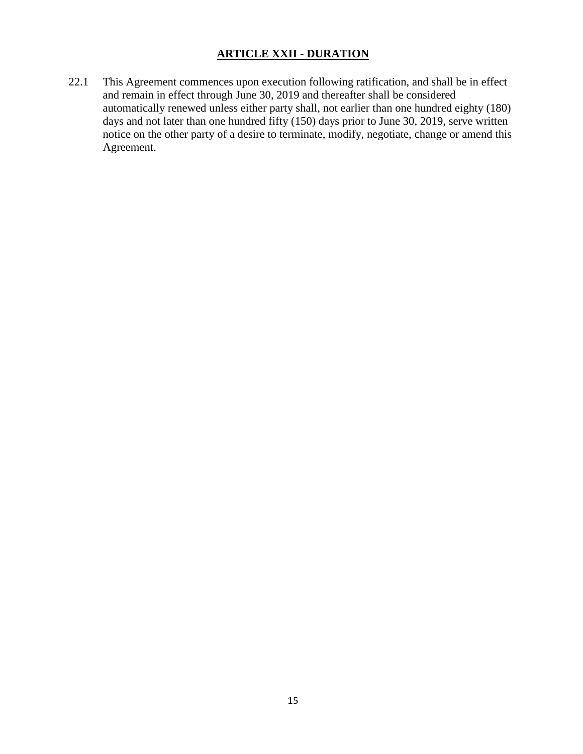### **ARTICLE XXII - DURATION**

<span id="page-14-0"></span>22.1 This Agreement commences upon execution following ratification, and shall be in effect and remain in effect through June 30, 2019 and thereafter shall be considered automatically renewed unless either party shall, not earlier than one hundred eighty (180) days and not later than one hundred fifty (150) days prior to June 30, 2019, serve written notice on the other party of a desire to terminate, modify, negotiate, change or amend this Agreement.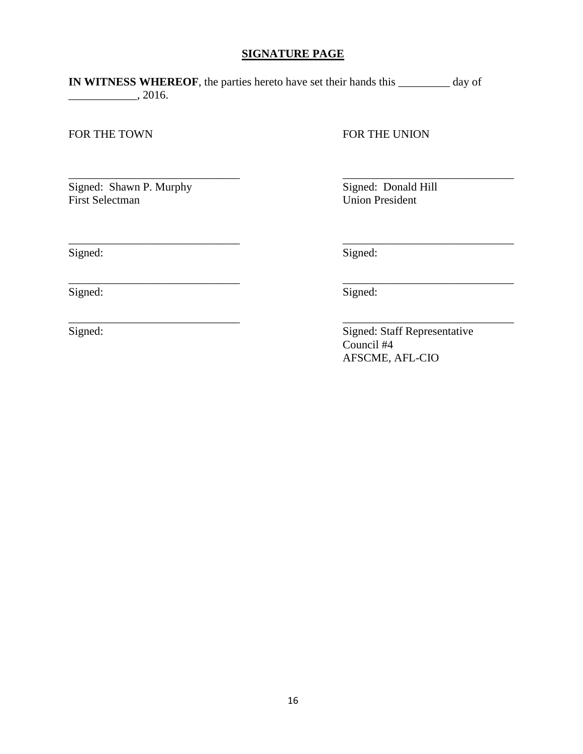### **SIGNATURE PAGE**

\_\_\_\_\_\_\_\_\_\_\_\_\_\_\_\_\_\_\_\_\_\_\_\_\_\_\_\_\_\_ \_\_\_\_\_\_\_\_\_\_\_\_\_\_\_\_\_\_\_\_\_\_\_\_\_\_\_\_\_\_

\_\_\_\_\_\_\_\_\_\_\_\_\_\_\_\_\_\_\_\_\_\_\_\_\_\_\_\_\_\_ \_\_\_\_\_\_\_\_\_\_\_\_\_\_\_\_\_\_\_\_\_\_\_\_\_\_\_\_\_\_

\_\_\_\_\_\_\_\_\_\_\_\_\_\_\_\_\_\_\_\_\_\_\_\_\_\_\_\_\_\_ \_\_\_\_\_\_\_\_\_\_\_\_\_\_\_\_\_\_\_\_\_\_\_\_\_\_\_\_\_\_

<span id="page-15-0"></span>**IN WITNESS WHEREOF**, the parties hereto have set their hands this \_\_\_\_\_\_\_\_\_ day of  $\frac{1}{2016}$ .

FOR THE TOWN FOR THE UNION

Signed: Shawn P. Murphy Signed: Donald Hill<br>First Selectman Union President

Union President

Signed: Signed: Signed:

Signed: Signed: Signed: Signed: Signed: Signed: Signed: Signed: Signed: Signed: Signed: Signed: Signed: Signed: Signed: Signed: Signed: Signed: Signed: Signed: Signed: Signed: Signed: Signed: Signed: Signed: Signed: Signed

\_\_\_\_\_\_\_\_\_\_\_\_\_\_\_\_\_\_\_\_\_\_\_\_\_\_\_\_\_\_ \_\_\_\_\_\_\_\_\_\_\_\_\_\_\_\_\_\_\_\_\_\_\_\_\_\_\_\_\_\_

Signed: Signed: Staff Representative Council #4 AFSCME, AFL-CIO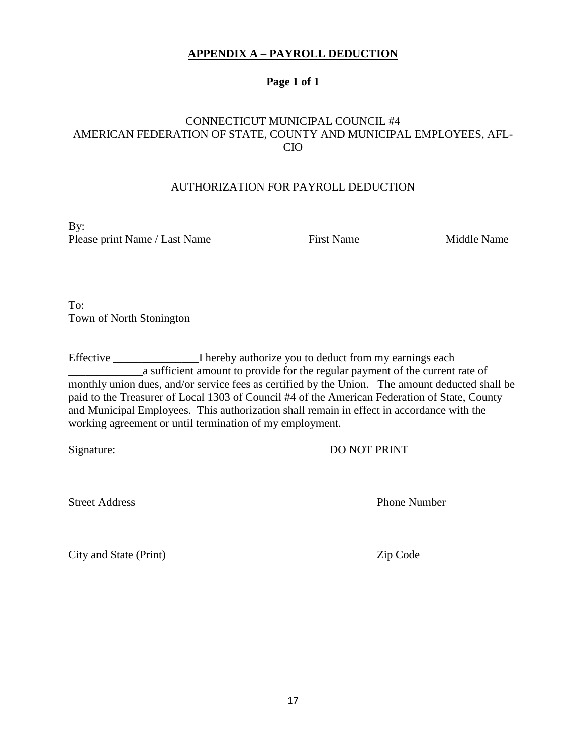### **APPENDIX A – PAYROLL DEDUCTION**

### **Page 1 of 1**

### <span id="page-16-0"></span>CONNECTICUT MUNICIPAL COUNCIL #4 AMERICAN FEDERATION OF STATE, COUNTY AND MUNICIPAL EMPLOYEES, AFL-CIO

#### AUTHORIZATION FOR PAYROLL DEDUCTION

By: Please print Name / Last Name First Name First Name Middle Name

To: Town of North Stonington

Effective \_\_\_\_\_\_\_\_\_\_\_\_\_\_\_\_I hereby authorize you to deduct from my earnings each \_\_\_\_\_\_\_\_\_\_\_\_\_a sufficient amount to provide for the regular payment of the current rate of monthly union dues, and/or service fees as certified by the Union. The amount deducted shall be paid to the Treasurer of Local 1303 of Council #4 of the American Federation of State, County and Municipal Employees. This authorization shall remain in effect in accordance with the working agreement or until termination of my employment.

Signature: DO NOT PRINT

Street Address Phone Number

City and State (Print) Zip Code